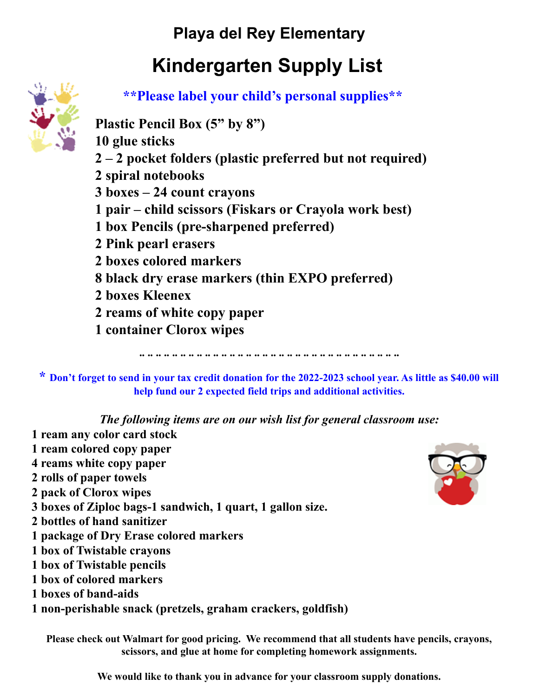## **Kindergarten Supply List**



**\*\*Please label your child's personal supplies\*\***

**Plastic Pencil Box (5" by 8")**

 **glue sticks – 2 pocket folders (plastic preferred but not required) spiral notebooks boxes – 24 count crayons pair – child scissors (Fiskars or Crayola work best) box Pencils (pre-sharpened preferred) Pink pearl erasers boxes colored markers black dry erase markers (thin EXPO preferred) boxes Kleenex reams of white copy paper container Clorox wipes**

**\* Don't forget to send in your tax credit donation for the 2022-2023 school year. As little as \$40.00 will help fund our 2 expected field trips and additional activities.**

**¨ ¨ ¨ ¨ ¨ ¨ ¨ ¨ ¨ ¨ ¨ ¨ ¨ ¨ ¨ ¨ ¨ ¨ ¨ ¨ ¨ ¨ ¨ ¨ ¨ ¨ ¨ ¨ ¨ ¨ ¨ ¨**

*The following items are on our wish list for general classroom use:*

 **ream any color card stock ream colored copy paper reams white copy paper rolls of paper towels pack of Clorox wipes boxes of Ziploc bags-1 sandwich, 1 quart, 1 gallon size. bottles of hand sanitizer package of Dry Erase colored markers box of Twistable crayons box of Twistable pencils box of colored markers boxes of band-aids non-perishable snack (pretzels, graham crackers, goldfish)**



**Please check out Walmart for good pricing. We recommend that all students have pencils, crayons, scissors, and glue at home for completing homework assignments.**

**We would like to thank you in advance for your classroom supply donations.**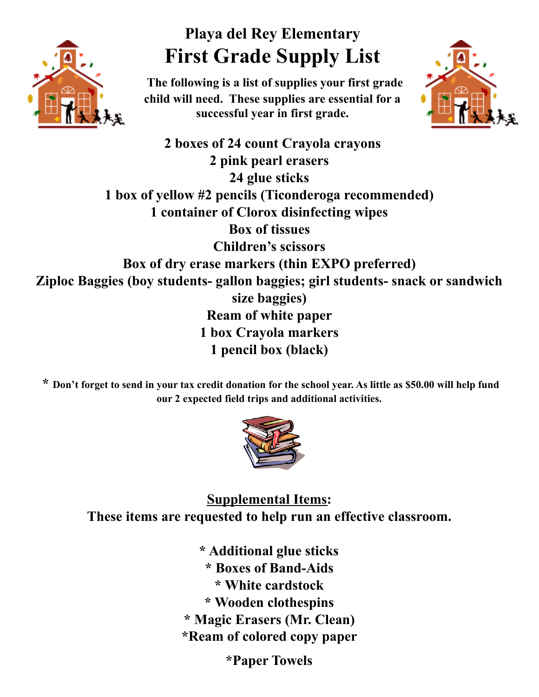

#### **Playa del Rey Elementary First Grade Supply List**

**The following is a list of supplies your first grade child will need. These supplies are essential for a successful year in first grade.**



**2 boxes of 24 count Crayola crayons 2 pink pearl erasers 24 glue sticks 1 box of yellow #2 pencils (Ticonderoga recommended) 1 container of Clorox disinfecting wipes Box of tissues Children's scissors Box of dry erase markers (thin EXPO preferred) Ziploc Baggies (boy students- gallon baggies; girl students- snack or sandwich size baggies) Ream of white paper 1 box Crayola markers 1 pencil box (black)**

**\* Don't forget to send in your tax credit donation for the school year. As little as \$50.00 will help fund our 2 expected field trips and additional activities.**



**Supplemental Items: These items are requested to help run an effective classroom.**

> **\* Additional glue sticks \* Boxes of Band-Aids \* White cardstock \* Wooden clothespins \* Magic Erasers (Mr. Clean) \*Ream of colored copy paper**

**\*Paper Towels**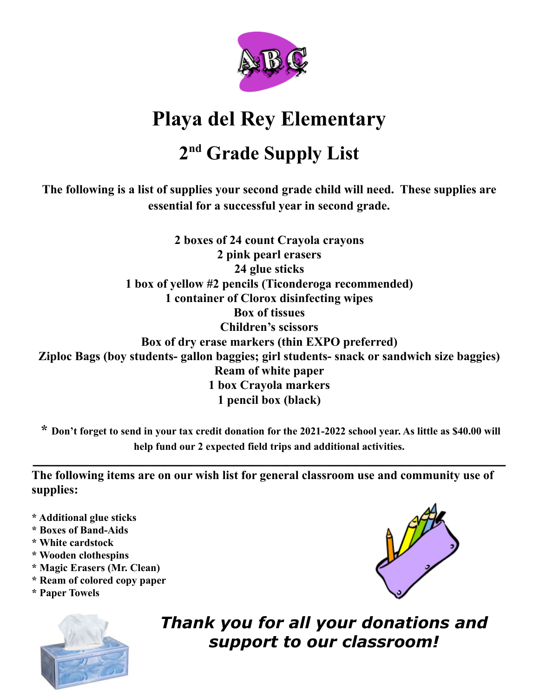

## **2 nd Grade Supply List**

**The following is a list of supplies your second grade child will need. These supplies are essential for a successful year in second grade.**

**2 boxes of 24 count Crayola crayons 2 pink pearl erasers 24 glue sticks 1 box of yellow #2 pencils (Ticonderoga recommended) 1 container of Clorox disinfecting wipes Box of tissues Children's scissors Box of dry erase markers (thin EXPO preferred) Ziploc Bags (boy students- gallon baggies; girl students- snack or sandwich size baggies) Ream of white paper 1 box Crayola markers 1 pencil box (black)**

**\* Don't forget to send in your tax credit donation for the 2021-2022 school year. As little as \$40.00 will help fund our 2 expected field trips and additional activities.**

**\_\_\_\_\_\_\_\_\_\_\_\_\_\_\_\_\_\_\_\_\_\_\_\_\_\_\_\_\_\_\_\_\_\_\_\_\_\_\_\_\_\_\_\_\_\_\_\_\_\_\_\_\_\_**

**The following items are on our wish list for general classroom use and community use of supplies:**

- **\* Additional glue sticks**
- **\* Boxes of Band-Aids**
- **\* White cardstock**
- **\* Wooden clothespins**
- **\* Magic Erasers (Mr. Clean)**
- **\* Ream of colored copy paper**
- **\* Paper Towels**



*Thank you for all your donations and support to our classroom!*

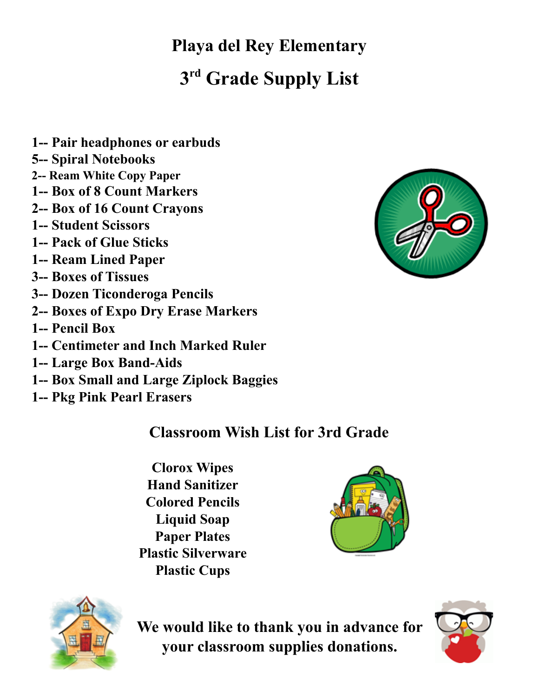# **Playa del Rey Elementary 3 rd Grade Supply List**

- **1-- Pair headphones or earbuds**
- **5-- Spiral Notebooks**
- **2-- Ream White Copy Paper**
- **1-- Box of 8 Count Markers**
- **2-- Box of 16 Count Crayons**
- **1-- Student Scissors**
- **1-- Pack of Glue Sticks**
- **1-- Ream Lined Paper**
- **3-- Boxes of Tissues**
- **3-- Dozen Ticonderoga Pencils**
- **2-- Boxes of Expo Dry Erase Markers**
- **1-- Pencil Box**
- **1-- Centimeter and Inch Marked Ruler**
- **1-- Large Box Band-Aids**
- **1-- Box Small and Large Ziplock Baggies**
- **1-- Pkg Pink Pearl Erasers**

#### **Classroom Wish List for 3rd Grade**

**Clorox Wipes Hand Sanitizer Colored Pencils Liquid Soap Paper Plates Plastic Silverware Plastic Cups**





**We would like to thank you in advance for your classroom supplies donations.**



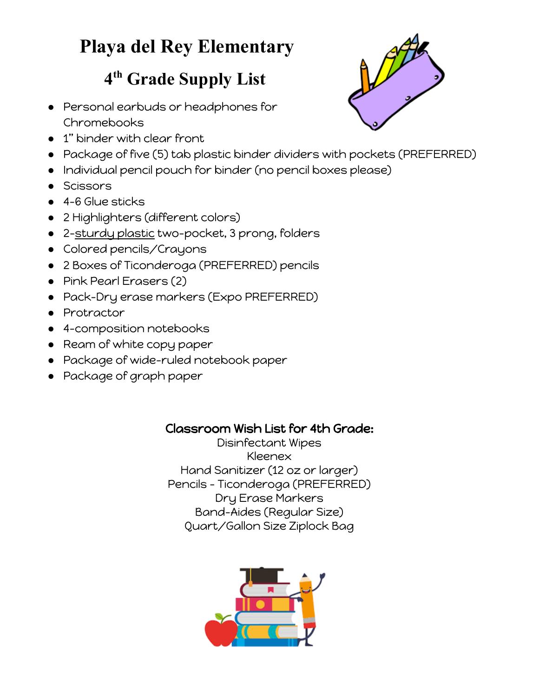#### **4 th Grade Supply List**

- Personal earbuds or headphones for Chromebooks
- 1" binder with clear front
- Package of five (5) tab plastic binder dividers with pockets (PREFERRED)
- Individual pencil pouch for binder (no pencil boxes please)
- Scissors
- 4-6 Glue sticks
- 2 Highlighters (different colors)
- 2-sturdy plastic two-pocket, 3 prong, folders
- Colored pencils/Crayons
- 2 Boxes of Ticonderoga (PREFERRED) pencils
- Pink Pearl Erasers (2)
- Pack-Dry erase markers (Expo PREFERRED)
- Protractor
- 4-composition notebooks
- Ream of white copy paper
- Package of wide-ruled notebook paper
- Package of graph paper

#### Classroom Wish List for 4th Grade:

Disinfectant Wipes Kleenex Hand Sanitizer (12 oz or larger) Pencils - Ticonderoga (PREFERRED) Dry Erase Markers Band-Aides (Regular Size) Quart/Gallon Size Ziplock Bag



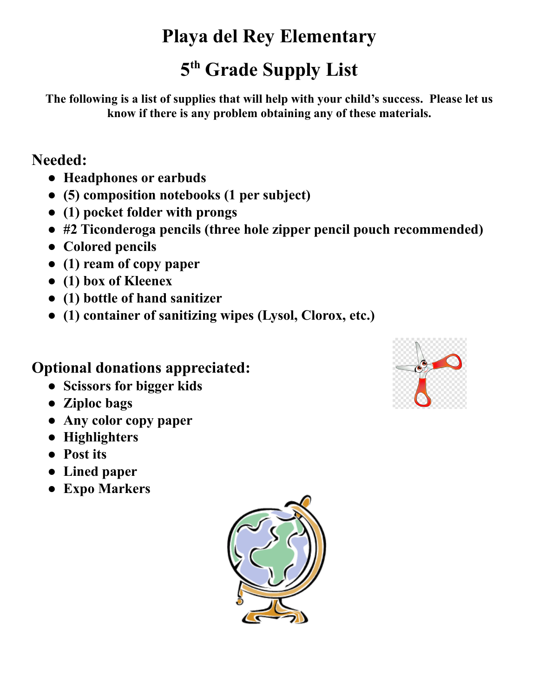### **5 th Grade Supply List**

**The following is a list of supplies that will help with your child's success. Please let us know if there is any problem obtaining any of these materials.**

#### **Needed:**

- **● Headphones or earbuds**
- **● (5) composition notebooks (1 per subject)**
- **● (1) pocket folder with prongs**
- **● #2 Ticonderoga pencils (three hole zipper pencil pouch recommended)**
- **● Colored pencils**
- **● (1) ream of copy paper**
- **● (1) box of Kleenex**
- **● (1) bottle of hand sanitizer**
- **● (1) container of sanitizing wipes (Lysol, Clorox, etc.)**

#### **Optional donations appreciated:**

- **● Scissors for bigger kids**
- **● Ziploc bags**
- **● Any color copy paper**
- **● Highlighters**
- **● Post its**
- **● Lined paper**
- **● Expo Markers**



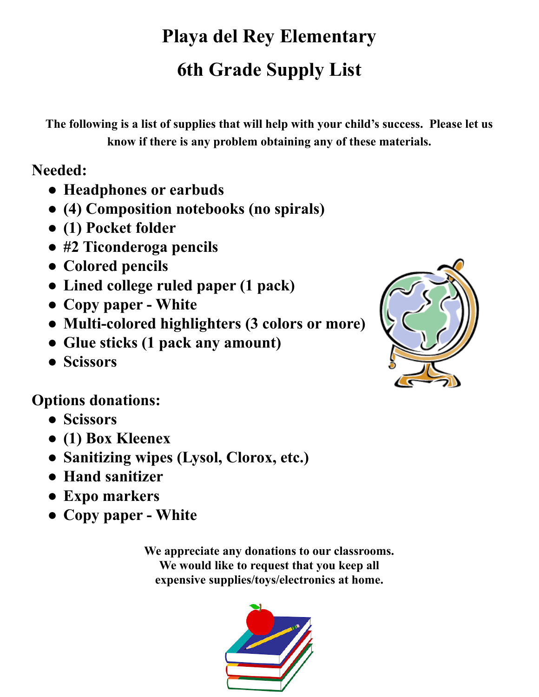# **Playa del Rey Elementary 6th Grade Supply List**

**The following is a list of supplies that will help with your child's success. Please let us know if there is any problem obtaining any of these materials.**

**Needed:**

- **● Headphones or earbuds**
- **● (4) Composition notebooks (no spirals)**
- **● (1) Pocket folder**
- **● #2 Ticonderoga pencils**
- **● Colored pencils**
- **● Lined college ruled paper (1 pack)**
- **● Copy paper White**
- **● Multi-colored highlighters (3 colors or more)**
- **● Glue sticks (1 pack any amount)**
- **● Scissors**



#### **Options donations:**

- **● Scissors**
- **● (1) Box Kleenex**
- **● Sanitizing wipes (Lysol, Clorox, etc.)**
- **● Hand sanitizer**
- **● Expo markers**
- **● Copy paper White**

**We appreciate any donations to our classrooms. We would like to request that you keep all expensive supplies/toys/electronics at home.**